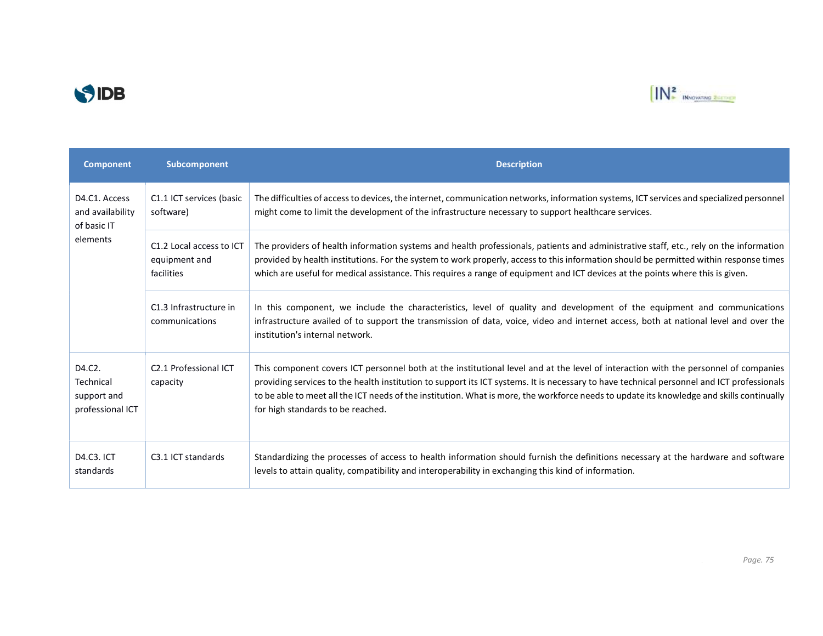



| <b>Component</b>                                                                       | Subcomponent                                            | <b>Description</b>                                                                                                                                                                                                                                                                                                                                                                                                                                                  |
|----------------------------------------------------------------------------------------|---------------------------------------------------------|---------------------------------------------------------------------------------------------------------------------------------------------------------------------------------------------------------------------------------------------------------------------------------------------------------------------------------------------------------------------------------------------------------------------------------------------------------------------|
| D <sub>4</sub> .C <sub>1</sub> . Access<br>and availability<br>of basic IT<br>elements | C1.1 ICT services (basic<br>software)                   | The difficulties of access to devices, the internet, communication networks, information systems, ICT services and specialized personnel<br>might come to limit the development of the infrastructure necessary to support healthcare services.                                                                                                                                                                                                                     |
|                                                                                        | C1.2 Local access to ICT<br>equipment and<br>facilities | The providers of health information systems and health professionals, patients and administrative staff, etc., rely on the information<br>provided by health institutions. For the system to work properly, access to this information should be permitted within response times<br>which are useful for medical assistance. This requires a range of equipment and ICT devices at the points where this is given.                                                  |
|                                                                                        | C1.3 Infrastructure in<br>communications                | In this component, we include the characteristics, level of quality and development of the equipment and communications<br>infrastructure availed of to support the transmission of data, voice, video and internet access, both at national level and over the<br>institution's internal network.                                                                                                                                                                  |
| D4.C2.<br>Technical<br>support and<br>professional ICT                                 | C <sub>2.1</sub> Professional ICT<br>capacity           | This component covers ICT personnel both at the institutional level and at the level of interaction with the personnel of companies<br>providing services to the health institution to support its ICT systems. It is necessary to have technical personnel and ICT professionals<br>to be able to meet all the ICT needs of the institution. What is more, the workforce needs to update its knowledge and skills continually<br>for high standards to be reached. |
| D4.C3. ICT<br>standards                                                                | C3.1 ICT standards                                      | Standardizing the processes of access to health information should furnish the definitions necessary at the hardware and software<br>levels to attain quality, compatibility and interoperability in exchanging this kind of information.                                                                                                                                                                                                                           |